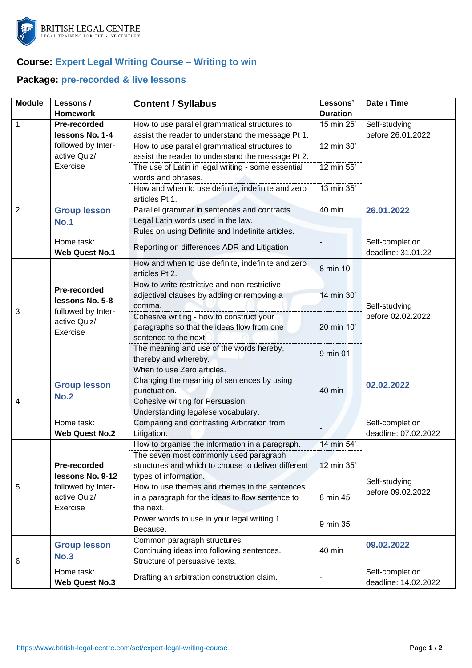

## **Course: Expert Legal Writing Course – Writing to win**

## **Package: pre-recorded & live lessons**

| <b>Module</b>  | Lessons/                            | <b>Content / Syllabus</b>                                           | Lessons'        | Date / Time                           |
|----------------|-------------------------------------|---------------------------------------------------------------------|-----------------|---------------------------------------|
|                | <b>Homework</b>                     |                                                                     | <b>Duration</b> |                                       |
| 1              | Pre-recorded                        | How to use parallel grammatical structures to                       | 15 min 25'      | Self-studying<br>before 26.01.2022    |
|                | lessons No. 1-4                     | assist the reader to understand the message Pt 1.                   |                 |                                       |
|                | followed by Inter-<br>active Quiz/  | How to use parallel grammatical structures to                       | 12 min 30'      |                                       |
|                | Exercise                            | assist the reader to understand the message Pt 2.                   | 12 min 55'      |                                       |
|                |                                     | The use of Latin in legal writing - some essential                  |                 |                                       |
|                |                                     | words and phrases.                                                  | 13 min 35'      |                                       |
|                |                                     | How and when to use definite, indefinite and zero<br>articles Pt 1. |                 |                                       |
| $\overline{2}$ | <b>Group lesson</b>                 | Parallel grammar in sentences and contracts.                        | 40 min          | 26.01.2022                            |
|                | <b>No.1</b>                         | Legal Latin words used in the law.                                  |                 |                                       |
|                |                                     | Rules on using Definite and Indefinite articles.                    |                 |                                       |
|                | Home task:<br><b>Web Quest No.1</b> | Reporting on differences ADR and Litigation                         |                 | Self-completion<br>deadline: 31.01.22 |
|                |                                     | How and when to use definite, indefinite and zero<br>articles Pt 2. | 8 min 10'       |                                       |
|                |                                     | How to write restrictive and non-restrictive                        |                 |                                       |
|                | Pre-recorded                        | adjectival clauses by adding or removing a                          | 14 min 30'      |                                       |
|                | lessons No. 5-8                     | comma.                                                              |                 | Self-studying                         |
| 3              | followed by Inter-<br>active Quiz/  | Cohesive writing - how to construct your                            |                 | before 02.02.2022                     |
|                | Exercise                            | paragraphs so that the ideas flow from one                          | 20 min 10'      |                                       |
|                |                                     | sentence to the next.                                               |                 |                                       |
|                |                                     | The meaning and use of the words hereby,                            | 9 min 01'       |                                       |
|                |                                     | thereby and whereby.                                                |                 |                                       |
|                | <b>Group lesson</b>                 | When to use Zero articles.                                          |                 |                                       |
|                |                                     | Changing the meaning of sentences by using                          |                 | 02.02.2022                            |
|                | <b>No.2</b>                         | punctuation.                                                        | 40 min          |                                       |
| 4              |                                     | Cohesive writing for Persuasion.                                    |                 |                                       |
|                |                                     | Understanding legalese vocabulary.                                  |                 |                                       |
|                | Home task:                          | Comparing and contrasting Arbitration from                          |                 | Self-completion                       |
|                | <b>Web Quest No.2</b>               | Litigation.                                                         |                 | deadline: 07.02.2022                  |
|                |                                     | How to organise the information in a paragraph.                     | 14 min 54'      |                                       |
|                | Pre-recorded                        | The seven most commonly used paragraph                              |                 |                                       |
|                |                                     | structures and which to choose to deliver different                 | 12 min 35'      | Self-studying                         |
|                | lessons No. 9-12                    | types of information.                                               |                 |                                       |
| 5              | followed by Inter-                  | How to use themes and rhemes in the sentences                       |                 | before 09.02.2022                     |
|                | active Quiz/<br>Exercise            | in a paragraph for the ideas to flow sentence to                    | 8 min 45'       |                                       |
|                |                                     | the next.                                                           |                 |                                       |
|                |                                     | Power words to use in your legal writing 1.<br>Because.             | 9 min 35'       |                                       |
|                |                                     | Common paragraph structures.                                        |                 | 09.02.2022                            |
| 6              | <b>Group lesson</b><br><b>No.3</b>  | Continuing ideas into following sentences.                          | 40 min          |                                       |
|                |                                     | Structure of persuasive texts.                                      |                 |                                       |
|                | Home task:                          | Drafting an arbitration construction claim.                         |                 | Self-completion                       |
|                | <b>Web Quest No.3</b>               |                                                                     |                 | deadline: 14.02.2022                  |